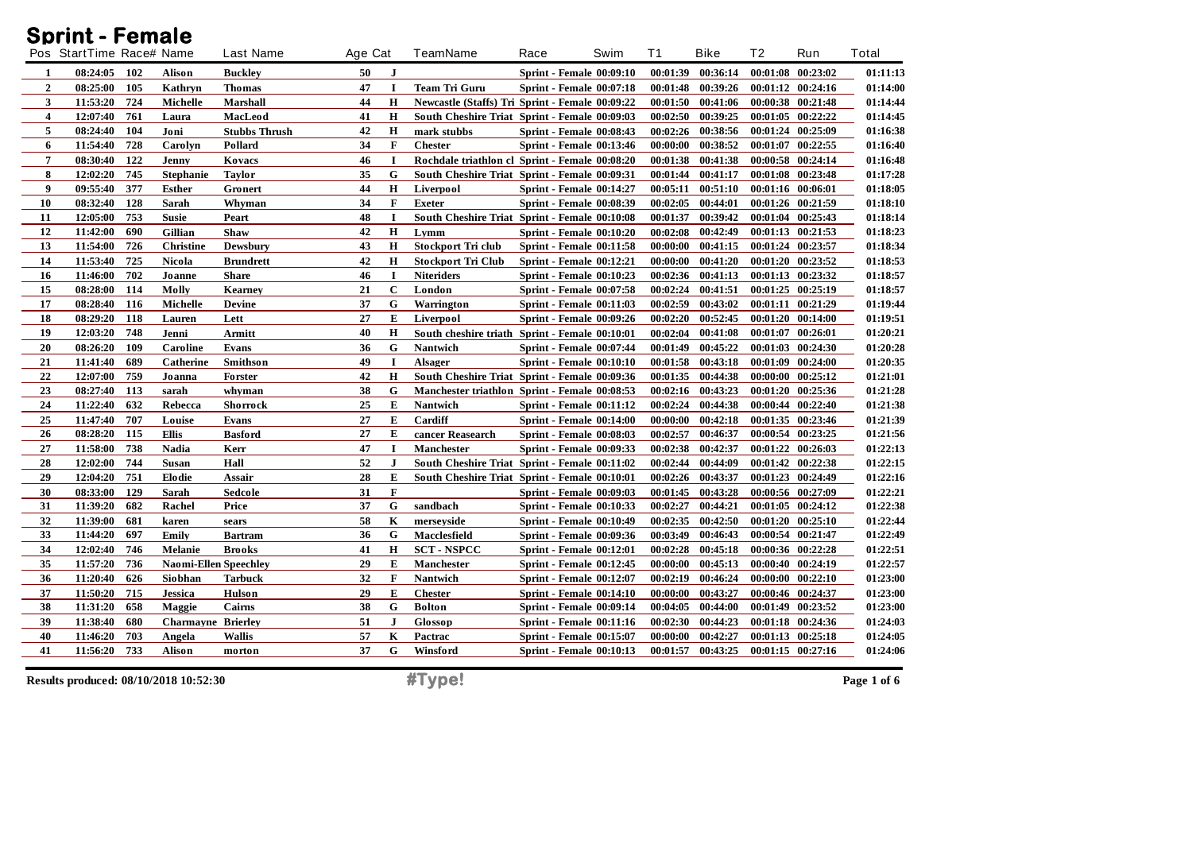| <b>Sprint - Female</b> |                          |     |                              |                      |         |              |                                                 |                                 |      |          |                   |                |                   |                 |
|------------------------|--------------------------|-----|------------------------------|----------------------|---------|--------------|-------------------------------------------------|---------------------------------|------|----------|-------------------|----------------|-------------------|-----------------|
|                        | Pos StartTime Race# Name |     |                              | <b>Last Name</b>     | Age Cat |              | TeamName                                        | Race                            | Swim | Τ1       | <b>Bike</b>       | T <sub>2</sub> | Run               | Total           |
| 1                      | 08:24:05                 | 102 | Alison                       | <b>Buckley</b>       | 50      | J            |                                                 | <b>Sprint - Female 00:09:10</b> |      | 00:01:39 | 00:36:14          |                | 00:01:08 00:23:02 | 01:11:13        |
| $\overline{2}$         | 08:25:00                 | 105 | Kathryn                      | Thomas               | 47      | -1           | Team Tri Guru                                   | <b>Sprint - Female 00:07:18</b> |      | 00:01:48 | 00:39:26          |                | 00:01:12 00:24:16 | 01:14:00        |
| 3                      | 11:53:20                 | 724 | Michelle                     | <b>Marshall</b>      | 44      | $\mathbf H$  | Newcastle (Staffs) Tri Sprint - Female 00:09:22 |                                 |      | 00:01:50 | 00:41:06          |                | 00:00:38 00:21:48 | 01:14:44        |
| $\overline{4}$         | 12:07:40                 | 761 | Laura                        | MacLeod              | 41      | Н            | South Cheshire Triat Sprint - Female 00:09:03   |                                 |      | 00:02:50 | 00:39:25          | 00:01:05       | 00:22:22          | 01:14:45        |
| 5                      | 08:24:40                 | 104 | Joni                         | <b>Stubbs Thrush</b> | 42      | Н            | mark stubbs                                     | Sprint - Female 00:08:43        |      | 00:02:26 | 00:38:56          |                | 00:01:24 00:25:09 | 01:16:38        |
| 6                      | 11:54:40                 | 728 | Carolyn                      | Pollard              | 34      | $\mathbf F$  | <b>Chester</b>                                  | Sprint - Female 00:13:46        |      | 00:00:00 | 00:38:52          |                | 00:01:07 00:22:55 | 01:16:40        |
| $\overline{7}$         | 08:30:40                 | 122 | Jenny                        | Kovacs               | 46      | <b>I</b>     | Rochdale triathlon cl Sprint - Female 00:08:20  |                                 |      | 00:01:38 | 00:41:38          | 00:00:58       | 00:24:14          | 01:16:48        |
| 8                      | 12:02:20                 | 745 | <b>Stephanie</b>             | Taylor               | 35      | G            | South Cheshire Triat Sprint - Female 00:09:31   |                                 |      | 00:01:44 | 00:41:17          |                | 00:01:08 00:23:48 | 01:17:28        |
| 9                      | 09:55:40                 | 377 | Esther                       | Gronert              | 44      | Н            | Liverpool                                       | <b>Sprint - Female 00:14:27</b> |      | 00:05:11 | 00:51:10          |                | 00:01:16 00:06:01 | 01:18:05        |
| 10                     | 08:32:40                 | 128 | Sarah                        | Whyman               | 34      | $\mathbf F$  | <b>Exeter</b>                                   | <b>Sprint - Female 00:08:39</b> |      | 00:02:05 | 00:44:01          |                | 00:01:26 00:21:59 | 01:18:10        |
| 11                     | 12:05:00                 | 753 | <b>Susie</b>                 | Peart                | 48      | I            | South Cheshire Triat Sprint - Female 00:10:08   |                                 |      | 00:01:37 | 00:39:42          |                | 00:01:04 00:25:43 | 01:18:14        |
| 12                     | 11:42:00                 | 690 | Gillian                      | Shaw                 | 42      | $\mathbf H$  | Lymm                                            | Sprint - Female 00:10:20        |      | 00:02:08 | 00:42:49          |                | 00:01:13 00:21:53 | 01:18:23        |
| 13                     | 11:54:00                 | 726 | <b>Christine</b>             | Dewsbury             | 43      | Н            | <b>Stockport Tri club</b>                       | Sprint - Female 00:11:58        |      | 00:00:00 | 00:41:15          |                | 00:01:24 00:23:57 | 01:18:34        |
| 14                     | 11:53:40                 | 725 | Nicola                       | <b>Brundrett</b>     | 42      | Н            | <b>Stockport Tri Club</b>                       | <b>Sprint - Female 00:12:21</b> |      | 00:00:00 | 00:41:20          |                | 00:01:20 00:23:52 | 01:18:53        |
| 16                     | 11:46:00                 | 702 | Joanne                       | Share                | 46      | $\bf{I}$     | <b>Niteriders</b>                               | <b>Sprint - Female 00:10:23</b> |      | 00:02:36 | 00:41:13          |                | 00:01:13 00:23:32 | 01:18:57        |
| 15                     | 08:28:00                 | 114 | Molly                        | <b>Kearney</b>       | 21      | $\mathbf C$  | London                                          | <b>Sprint - Female 00:07:58</b> |      | 00:02:24 | 00:41:51          |                | 00:01:25 00:25:19 | 01:18:57        |
| 17                     | 08:28:40                 | 116 | <b>Michelle</b>              | <b>Devine</b>        | 37      | G            | Warrington                                      | <b>Sprint - Female 00:11:03</b> |      | 00:02:59 | 00:43:02          | 00:01:11       | 00:21:29          | 01:19:44        |
| 18                     | 08:29:20                 | 118 | Lauren                       | Lett                 | 27      | Е            | Liverpool                                       | <b>Sprint - Female 00:09:26</b> |      | 00:02:20 | 00:52:45          |                | 00:01:20 00:14:00 | 01:19:51        |
| 19                     | 12:03:20                 | 748 | Jenni                        | Armitt               | 40      | Н            | South cheshire triath Sprint - Female 00:10:01  |                                 |      | 00:02:04 | 00:41:08          |                | 00:01:07 00:26:01 | 01:20:21        |
| 20                     | 08:26:20                 | 109 | Caroline                     | <b>Evans</b>         | 36      | G            | Nantwich                                        | <b>Sprint - Female 00:07:44</b> |      | 00:01:49 | 00:45:22          |                | 00:01:03 00:24:30 | 01:20:28        |
| 21                     | 11:41:40                 | 689 | Catherine                    | <b>Smithson</b>      | 49      | -1           | Alsager                                         | Sprint - Female 00:10:10        |      | 00:01:58 | 00:43:18          | 00:01:09       | 00:24:00          | 01:20:35        |
| 22                     | 12:07:00                 | 759 | Joanna                       | <b>Forster</b>       | 42      | H            | South Cheshire Triat Sprint - Female 00:09:36   |                                 |      | 00:01:35 | 00:44:38          | 00:00:00       | 00:25:12          | 01:21:01        |
| 23                     | 08:27:40                 | 113 | sarah                        | whyman               | 38      | G            | Manchester triathlon Sprint - Female 00:08:53   |                                 |      |          | 00:02:16 00:43:23 |                | 00:01:20 00:25:36 | 01:21:28        |
| 24                     | 11:22:40                 | 632 | Rebecca                      | <b>Shorrock</b>      | 25      | E            | <b>Nantwich</b>                                 | Sprint - Female 00:11:12        |      | 00:02:24 | 00:44:38          |                | 00:00:44 00:22:40 | 01:21:38        |
| 25                     | 11:47:40                 | 707 | Louise                       | <b>Evans</b>         | 27      | E            | Cardiff                                         | Sprint - Female 00:14:00        |      | 00:00:00 | 00:42:18          |                | 00:01:35 00:23:46 | 01:21:39        |
| 26                     | 08:28:20                 | 115 | Ellis                        | <b>Basford</b>       | 27      | E            | cancer Reasearch                                | <b>Sprint - Female 00:08:03</b> |      | 00:02:57 | 00:46:37          |                | 00:00:54 00:23:25 | 01:21:56        |
| 27                     | 11:58:00                 | 738 | Nadia                        | Kerr                 | 47      | -1           | <b>Manchester</b>                               | <b>Sprint - Female 00:09:33</b> |      | 00:02:38 | 00:42:37          |                | 00:01:22 00:26:03 | 01:22:13        |
| 28                     | 12:02:00                 | 744 | Susan                        | Hall                 | 52      | J            | South Cheshire Triat Sprint - Female 00:11:02   |                                 |      | 00:02:44 | 00:44:09          |                | 00:01:42 00:22:38 | 01:22:15        |
| 29                     | 12:04:20                 | 751 | Elodie                       | Assair               | 28      | E            | South Cheshire Triat Sprint - Female 00:10:01   |                                 |      | 00:02:26 | 00:43:37          |                | 00:01:23 00:24:49 | 01:22:16        |
| 30                     | 08:33:00                 | 129 | Sarah                        | Sedcole              | 31      | $\mathbf F$  |                                                 | <b>Sprint - Female 00:09:03</b> |      | 00:01:45 | 00:43:28          |                | 00:00:56 00:27:09 | 01:22:21        |
| 31                     | 11:39:20                 | 682 | Rachel                       | Price                | 37      | G            | sandbach                                        | <b>Sprint - Female 00:10:33</b> |      | 00:02:27 | 00:44:21          |                | 00:01:05 00:24:12 | 01:22:38        |
| 32                     | 11:39:00                 | 681 | karen                        | sears                | 58      | K            | merseyside                                      | <b>Sprint - Female 00:10:49</b> |      | 00:02:35 | 00:42:50          | 00:01:20       | 00:25:10          | 01:22:44        |
| 33                     | 11:44:20                 | 697 | Emily                        | <b>Bartram</b>       | 36      | G            | Macclesfield                                    | <b>Sprint - Female 00:09:36</b> |      | 00:03:49 | 00:46:43          |                | 00:00:54 00:21:47 | 01:22:49        |
| 34                     | 12:02:40                 | 746 | Melanie                      | <b>Brooks</b>        | 41      | $\mathbf H$  | <b>SCT - NSPCC</b>                              | Sprint - Female 00:12:01        |      | 00:02:28 | 00:45:18          | 00:00:36       | 00:22:28          | 01:22:51        |
| 35                     | 11:57:20                 | 736 | <b>Naomi-Ellen Speechley</b> |                      | 29      | Е            | <b>Manchester</b>                               | <b>Sprint - Female 00:12:45</b> |      | 00:00:00 | 00:45:13          |                | 00:00:40 00:24:19 | 01:22:57        |
| 36                     | 11:20:40                 | 626 | Siobhan                      | <b>Tarbuck</b>       | 32      | $\mathbf{F}$ | Nantwich                                        | <b>Sprint - Female 00:12:07</b> |      | 00:02:19 | 00:46:24          | 00:00:00       | 00:22:10          | 01:23:00        |
| 37                     | 11:50:20                 | 715 | <b>Jessica</b>               | <b>Hulson</b>        | 29      | E            | <b>Chester</b>                                  | Sprint - Female 00:14:10        |      | 00:00:00 | 00:43:27          |                | 00:00:46 00:24:37 | 01:23:00        |
| 38                     | 11:31:20                 | 658 | Maggie                       | Cairns               | 38      | G            | <b>Bolton</b>                                   | <b>Sprint - Female 00:09:14</b> |      | 00:04:05 | 00:44:00          |                | 00:01:49 00:23:52 | <b>01:23:00</b> |
| 39                     | 11:38:40                 | 680 | <b>Charmayne Brierley</b>    |                      | 51      | $\mathbf{J}$ | Glossop                                         | <b>Sprint - Female 00:11:16</b> |      | 00:02:30 | 00:44:23          |                | 00:01:18 00:24:36 | 01:24:03        |
| 40                     | 11:46:20                 | 703 | Angela                       | <b>Wallis</b>        | 57      | K            | Pactrac                                         | <b>Sprint - Female 00:15:07</b> |      | 00:00:00 | 00:42:27          |                | 00:01:13 00:25:18 | 01:24:05        |
| 41                     | 11:56:20                 | 733 | Alison                       | morton               | 37      | G            | Winsford                                        | <b>Sprint - Female 00:10:13</b> |      | 00:01:57 | 00:43:25          |                | 00:01:15 00:27:16 | 01:24:06        |

**Results produced: 08/10/2018 10:52:30 #Type! Page 1 of 6**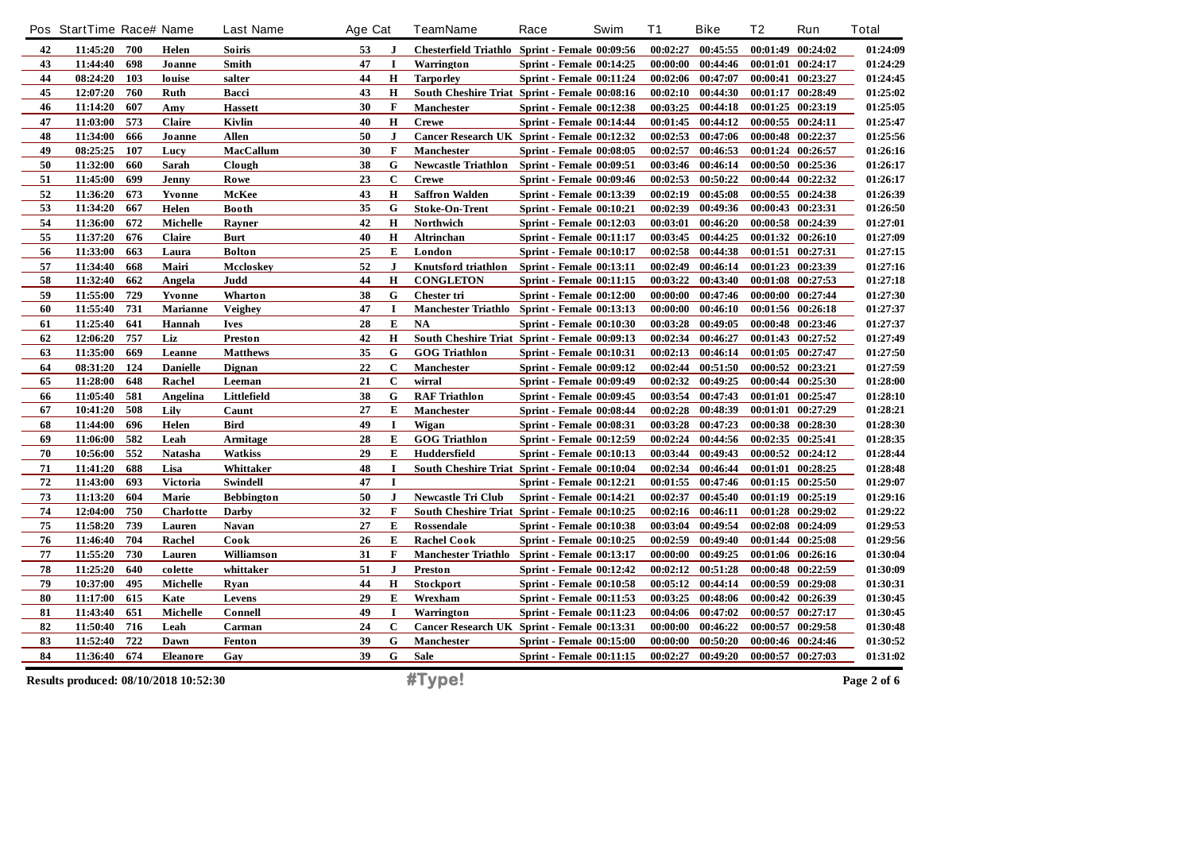|            | Pos StartTime Race# Name              |     |                 | Last Name         | Age Cat |              | TeamName                                       | Race                            | Swim | <b>T1</b> | <b>Bike</b>           | Τ2       | Run               | <b>Total</b> |
|------------|---------------------------------------|-----|-----------------|-------------------|---------|--------------|------------------------------------------------|---------------------------------|------|-----------|-----------------------|----------|-------------------|--------------|
| 42         | 11:45:20                              | 700 | Helen           | Soiris            | 53      | $\bf{J}$     | Chesterfield Triathlo Sprint - Female 00:09:56 |                                 |      | 00:02:27  | 00:45:55              |          | 00:01:49 00:24:02 | 01:24:09     |
| 43         | 11:44:40                              | 698 | Joanne          | Smith             | 47      | $\mathbf I$  | Warrington                                     | Sprint - Female 00:14:25        |      | 00:00:00  | 00:44:46              |          | 00:01:01 00:24:17 | 01:24:29     |
| 44         | 08:24:20                              | 103 | louise          | salter            | 44      | H            | <b>Tarporley</b>                               | Sprint - Female 00:11:24        |      | 00:02:06  | 00:47:07              |          | 00:00:41 00:23:27 | 01:24:45     |
| 45         | 12:07:20                              | 760 | Ruth            | Bacci             | 43      | H            | South Cheshire Triat Sprint - Female 00:08:16  |                                 |      |           | $00:02:10$ $00:44:30$ |          | 00:01:17 00:28:49 | 01:25:02     |
| 46         | 11:14:20                              | 607 | Amy             | <b>Hassett</b>    | 30      | F            | <b>Manchester</b>                              | Sprint - Female 00:12:38        |      | 00:03:25  | 00:44:18              |          | 00:01:25 00:23:19 | 01:25:05     |
| 47         | 11:03:00                              | 573 | Claire          | Kivlin            | 40      | $\mathbf H$  | <b>Crewe</b>                                   | Sprint - Female 00:14:44        |      |           | 00:01:45 00:44:12     |          | 00:00:55 00:24:11 | 01:25:47     |
| 48         | 11:34:00                              | 666 | Joanne          | <b>Allen</b>      | 50      | $\mathbf{J}$ | Cancer Research UK Sprint - Female 00:12:32    |                                 |      |           | 00:02:53 00:47:06     |          | 00:00:48 00:22:37 | 01:25:56     |
| 49         | 08:25:25                              | 107 | Lucy            | <b>MacCallum</b>  | 30      | $\mathbf{F}$ | <b>Manchester</b>                              | <b>Sprint - Female 00:08:05</b> |      | 00:02:57  | 00:46:53              |          | 00:01:24 00:26:57 | 01:26:16     |
| 50         | 11:32:00                              | 660 | Sarah           | Clough            | 38      | G            | Newcastle Triathlon Sprint - Female 00:09:51   |                                 |      | 00:03:46  | 00:46:14              |          | 00:00:50 00:25:36 | 01:26:17     |
| 51         | 11:45:00                              | 699 | Jenny           | Rowe              | 23      | $\mathbf C$  | <b>Crewe</b>                                   | <b>Sprint - Female 00:09:46</b> |      | 00:02:53  | 00:50:22              |          | 00:00:44 00:22:32 | 01:26:17     |
| $52\,$     | 11:36:20                              | 673 | Yvonne          | McKee             | 43      | $\mathbf H$  | <b>Saffron Walden</b>                          | <b>Sprint - Female 00:13:39</b> |      |           | 00:02:19 00:45:08     |          | 00:00:55 00:24:38 | 01:26:39     |
| 53         | 11:34:20                              | 667 | Helen           | <b>Booth</b>      | 35      | G            | <b>Stoke-On-Trent</b>                          | Sprint - Female 00:10:21        |      | 00:02:39  | 00:49:36              |          | 00:00:43 00:23:31 | 01:26:50     |
| 54         | 11:36:00                              | 672 | Michelle        | Rayner            | 42      | $\mathbf H$  | Northwich                                      | <b>Sprint - Female 00:12:03</b> |      | 00:03:01  | 00:46:20              |          | 00:00:58 00:24:39 | 01:27:01     |
| 55         | 11:37:20                              | 676 | <b>Claire</b>   | Burt              | 40      | H            | Altrinchan                                     | <b>Sprint - Female 00:11:17</b> |      | 00:03:45  | 00:44:25              |          | 00:01:32 00:26:10 | 01:27:09     |
| 56         | 11:33:00                              | 663 | Laura           | <b>Bolton</b>     | 25      | E            | London                                         | <b>Sprint - Female 00:10:17</b> |      | 00:02:58  | 00:44:38              |          | 00:01:51 00:27:31 | 01:27:15     |
| 57         | 11:34:40                              | 668 | Mairi           | Mccloskev         | 52      | $\mathbf{J}$ | Knutsford triathlon                            | <b>Sprint - Female 00:13:11</b> |      | 00:02:49  | 00:46:14              |          | 00:01:23 00:23:39 | 01:27:16     |
| 58         | 11:32:40                              | 662 | Angela          | Judd              | 44      | $\mathbf H$  | <b>CONGLETON</b>                               | <b>Sprint - Female 00:11:15</b> |      |           | $00:03:22$ $00:43:40$ |          | 00:01:08 00:27:53 | 01:27:18     |
| 59         | 11:55:00                              | 729 | Yvonne          | Wharton           | 38      | G            | <b>Chester tri</b>                             | Sprint - Female 00:12:00        |      | 00:00:00  | 00:47:46              | 00:00:00 | 00:27:44          | 01:27:30     |
| 60         | 11:55:40                              | 731 | Marianne        | Veighey           | 47      | $\mathbf I$  | Manchester Triathlo Sprint - Female 00:13:13   |                                 |      | 00:00:00  | 00:46:10              |          | 00:01:56 00:26:18 | 01:27:37     |
| 61         | 11:25:40                              | 641 | Hannah          | Ives              | 28      | E            | NA                                             | <b>Sprint - Female 00:10:30</b> |      | 00:03:28  | 00:49:05              |          | 00:00:48 00:23:46 | 01:27:37     |
| 62         | 12:06:20                              | 757 | Liz             | Preston           | 42      | $\mathbf H$  | South Cheshire Triat Sprint - Female 00:09:13  |                                 |      | 00:02:34  | 00:46:27              |          | 00:01:43 00:27:52 | 01:27:49     |
| 63         | 11:35:00                              | 669 | Leanne          | <b>Matthews</b>   | 35      | G            | <b>GOG Triathlon</b>                           | <b>Sprint - Female 00:10:31</b> |      |           | 00:02:13 00:46:14     |          | 00:01:05 00:27:47 | 01:27:50     |
| 64         | 08:31:20                              | 124 | <b>Danielle</b> | <b>Dignan</b>     | 22      | $\mathbf{C}$ | <b>Manchester</b>                              | <b>Sprint - Female 00:09:12</b> |      | 00:02:44  | 00:51:50              |          | 00:00:52 00:23:21 | 01:27:59     |
| 65         | 11:28:00                              | 648 | Rachel          | Leeman            | 21      | $\mathbf C$  | wirral                                         | <b>Sprint - Female 00:09:49</b> |      | 00:02:32  | 00:49:25              |          | 00:00:44 00:25:30 | 01:28:00     |
| 66         | 11:05:40                              | 581 | Angelina        | Littlefield       | 38      | $\mathbf G$  | <b>RAF Triathlon</b>                           | <b>Sprint - Female 00:09:45</b> |      | 00:03:54  | 00:47:43              |          | 00:01:01 00:25:47 | 01:28:10     |
| 67         | 10:41:20                              | 508 | Lily            | Caunt             | 27      | E            | <b>Manchester</b>                              | Sprint - Female 00:08:44        |      | 00:02:28  | 00:48:39              |          | 00:01:01 00:27:29 | 01:28:21     |
| 68         | 11:44:00                              | 696 | Helen           | <b>Bird</b>       | 49      | Т            | Wigan                                          | <b>Sprint - Female 00:08:31</b> |      | 00:03:28  | 00:47:23              |          | 00:00:38 00:28:30 | 01:28:30     |
| 69         | 11:06:00                              | 582 | Leah            | Armitage          | 28      | ${\bf E}$    | <b>GOG Triathlon</b>                           | <b>Sprint - Female 00:12:59</b> |      | 00:02:24  | 00:44:56              |          | 00:02:35 00:25:41 | 01:28:35     |
| ${\bf 70}$ | 10:56:00                              | 552 | Natasha         | <b>Watkiss</b>    | 29      | E            | Huddersfield                                   | Sprint - Female 00:10:13        |      | 00:03:44  | 00:49:43              |          | 00:00:52 00:24:12 | 01:28:44     |
| 71         | 11:41:20                              | 688 | Lisa            | Whittaker         | 48      | $\mathbf I$  | South Cheshire Triat Sprint - Female 00:10:04  |                                 |      |           | 00:02:34 00:46:44     |          | 00:01:01 00:28:25 | 01:28:48     |
| 72         | 11:43:00                              | 693 | Victoria        | Swindell          | 47      | $\mathbf I$  |                                                | <b>Sprint - Female 00:12:21</b> |      | 00:01:55  | 00:47:46              |          | 00:01:15 00:25:50 | 01:29:07     |
| 73         | 11:13:20                              | 604 | Marie           | <b>Bebbington</b> | 50      | $\mathbf{J}$ | <b>Newcastle Tri Club</b>                      | Sprint - Female 00:14:21        |      |           | 00:02:37 00:45:40     |          | 00:01:19 00:25:19 | 01:29:16     |
| 74         | 12:04:00                              | 750 | Charlotte       | Darby             | 32      | $\mathbf{F}$ | South Cheshire Triat Sprint - Female 00:10:25  |                                 |      |           | 00:02:16 00:46:11     |          | 00:01:28 00:29:02 | 01:29:22     |
| 75         | 11:58:20                              | 739 | Lauren          | Navan             | 27      | E            | Rossendale                                     | Sprint - Female 00:10:38        |      | 00:03:04  | 00:49:54              |          | 00:02:08 00:24:09 | 01:29:53     |
| 76         | 11:46:40                              | 704 | Rachel          | Cook              | 26      | E            | <b>Rachel Cook</b>                             | <b>Sprint - Female 00:10:25</b> |      | 00:02:59  | 00:49:40              |          | 00:01:44 00:25:08 | 01:29:56     |
| 77         | 11:55:20                              | 730 | Lauren          | Williamson        | 31      | $\mathbf{F}$ | Manchester Triathlo Sprint - Female 00:13:17   |                                 |      | 00:00:00  | 00:49:25              |          | 00:01:06 00:26:16 | 01:30:04     |
| 78         | 11:25:20                              | 640 | colette         | whittaker         | 51      | ${\bf J}$    | Preston                                        | Sprint - Female 00:12:42        |      |           | 00:02:12 00:51:28     |          | 00:00:48 00:22:59 | 01:30:09     |
| 79         | 10:37:00                              | 495 | Michelle        | Ryan              | 44      | H            | Stockport                                      | <b>Sprint - Female 00:10:58</b> |      | 00:05:12  | 00:44:14              |          | 00:00:59 00:29:08 | 01:30:31     |
| ${\bf 80}$ | 11:17:00                              | 615 | Kate            | Levens            | 29      | E            | Wrexham                                        | <b>Sprint - Female 00:11:53</b> |      | 00:03:25  | 00:48:06              |          | 00:00:42 00:26:39 | 01:30:45     |
| 81         | 11:43:40                              | 651 | Michelle        | Connell           | 49      | I            | Warrington                                     | <b>Sprint - Female 00:11:23</b> |      | 00:04:06  | 00:47:02              |          | 00:00:57 00:27:17 | 01:30:45     |
| 82         | 11:50:40                              | 716 | Leah            | Carman            | 24      | $\mathbf C$  | Cancer Research UK Sprint - Female 00:13:31    |                                 |      | 00:00:00  | 00:46:22              |          | 00:00:57 00:29:58 | 01:30:48     |
| 83         | 11:52:40                              | 722 | Dawn            | Fenton            | 39      | G            | <b>Manchester</b>                              | Sprint - Female 00:15:00        |      | 00:00:00  | 00:50:20              |          | 00:00:46 00:24:46 | 01:30:52     |
| 84         | 11:36:40                              | 674 | Eleanore        | Gay               | 39      | G            | Sale                                           | <b>Sprint - Female 00:11:15</b> |      | 00:02:27  | 00:49:20              |          | 00:00:57 00:27:03 | 01:31:02     |
|            | Results produced: 08/10/2018 10:52:30 |     |                 |                   |         |              | #Type!                                         |                                 |      |           |                       |          |                   | Page 2 of 6  |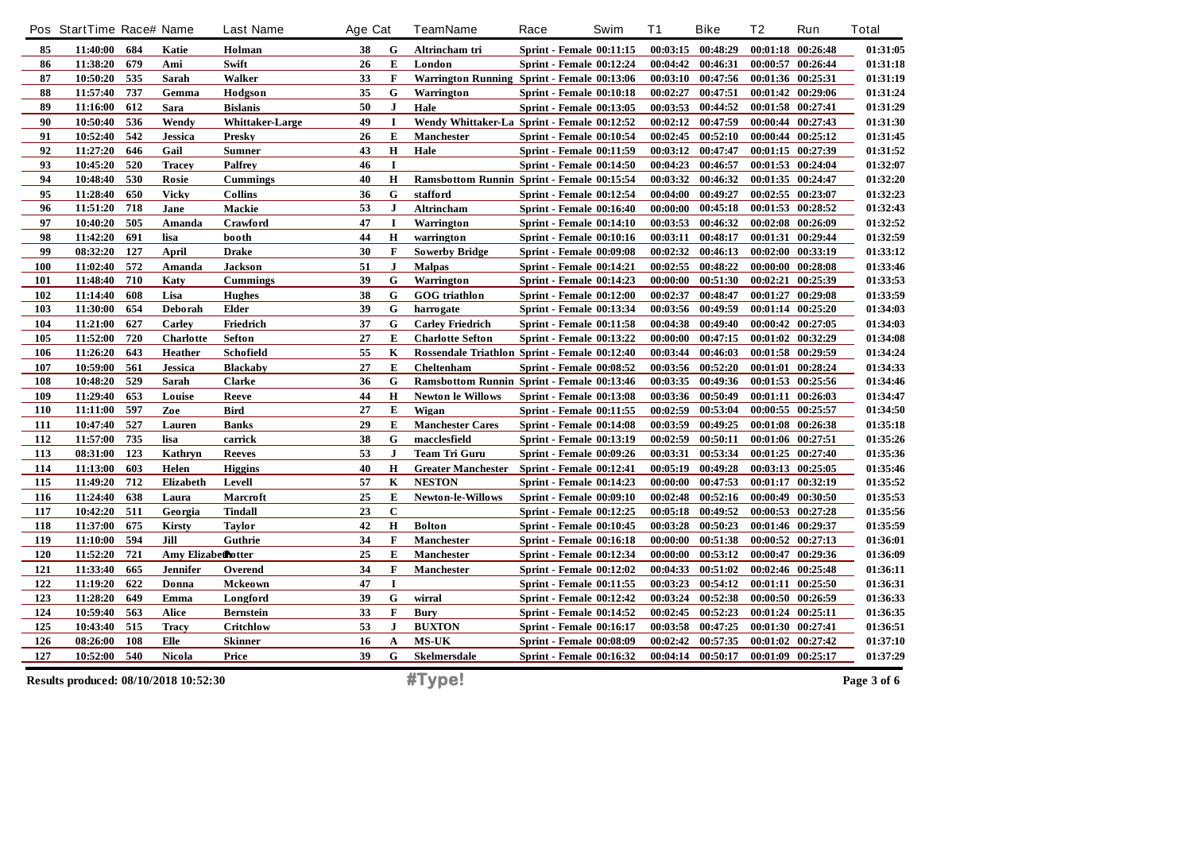|     | Pos StartTime Race# Name |     |                                       | <b>Last Name</b>       | Age Cat |              | <b>TeamName</b>                               | Race                            | Swim | T <sub>1</sub> | <b>Bike</b>       | Τ2 | Run               | <b>Total</b> |
|-----|--------------------------|-----|---------------------------------------|------------------------|---------|--------------|-----------------------------------------------|---------------------------------|------|----------------|-------------------|----|-------------------|--------------|
| 85  | 11:40:00                 | 684 | Katie                                 | Holman                 | 38      | G            | Altrincham tri                                | <b>Sprint - Female 00:11:15</b> |      |                | 00:03:15 00:48:29 |    | 00:01:18 00:26:48 | 01:31:05     |
| 86  | 11:38:20                 | 679 | Ami                                   | Swift                  | 26      | E            | London                                        | Sprint - Female 00:12:24        |      | 00:04:42       | 00:46:31          |    | 00:00:57 00:26:44 | 01:31:18     |
| 87  | 10:50:20                 | 535 | Sarah                                 | Walker                 | 33      | $\mathbf F$  | Warrington Running Sprint - Female 00:13:06   |                                 |      | 00:03:10       | 00:47:56          |    | 00:01:36 00:25:31 | 01:31:19     |
| 88  | 11:57:40                 | 737 | Gemma                                 | Hodgson                | 35      | G            | Warrington                                    | <b>Sprint - Female 00:10:18</b> |      | 00:02:27       | 00:47:51          |    | 00:01:42 00:29:06 | 01:31:24     |
| 89  | 11:16:00                 | 612 | Sara                                  | <b>Bislanis</b>        | 50      | $\mathbf{J}$ | Hale                                          | Sprint - Female 00:13:05        |      | 00:03:53       | 00:44:52          |    | 00:01:58 00:27:41 | 01:31:29     |
| 90  | 10:50:40                 | 536 | Wendy                                 | <b>Whittaker-Large</b> | 49      | $\mathbf I$  | Wendy Whittaker-La Sprint - Female 00:12:52   |                                 |      |                | 00:02:12 00:47:59 |    | 00:00:44 00:27:43 | 01:31:30     |
| 91  | 10:52:40                 | 542 | <b>Jessica</b>                        | <b>Presky</b>          | 26      | E            | <b>Manchester</b>                             | <b>Sprint - Female 00:10:54</b> |      |                | 00:02:45 00:52:10 |    | 00:00:44 00:25:12 | 01:31:45     |
| 92  | 11:27:20                 | 646 | Gail                                  | <b>Sumner</b>          | 43      | $\bf H$      | Hale                                          | <b>Sprint - Female 00:11:59</b> |      | 00:03:12       | 00:47:47          |    | 00:01:15 00:27:39 | 01:31:52     |
| 93  | 10:45:20                 | 520 | <b>Tracey</b>                         | <b>Palfrey</b>         | 46      | $\mathbf I$  |                                               | <b>Sprint - Female 00:14:50</b> |      | 00:04:23       | 00:46:57          |    | 00:01:53 00:24:04 | 01:32:07     |
| 94  | 10:48:40                 | 530 | Rosie                                 | <b>Cummings</b>        | 40      | $\mathbf H$  | Ramsbottom Runnin Sprint - Female 00:15:54    |                                 |      | 00:03:32       | 00:46:32          |    | 00:01:35 00:24:47 | 01:32:20     |
| 95  | 11:28:40                 | 650 | <b>Vicky</b>                          | <b>Collins</b>         | 36      | G            | stafford                                      | Sprint - Female 00:12:54        |      | 00:04:00       | 00:49:27          |    | 00:02:55 00:23:07 | 01:32:23     |
| 96  | 11:51:20                 | 718 | Jane                                  | Mackie                 | 53      | $\mathbf{J}$ | Altrincham                                    | Sprint - Female 00:16:40        |      | 00:00:00       | 00:45:18          |    | 00:01:53 00:28:52 | 01:32:43     |
| 97  | 10:40:20                 | 505 | Amanda                                | Crawford               | 47      | 1            | Warrington                                    | Sprint - Female 00:14:10        |      | 00:03:53       | 00:46:32          |    | 00:02:08 00:26:09 | 01:32:52     |
| 98  | 11:42:20                 | 691 | lisa                                  | booth                  | 44      | $\bf H$      | warrington                                    | <b>Sprint - Female 00:10:16</b> |      | 00:03:11       | 00:48:17          |    | 00:01:31 00:29:44 | 01:32:59     |
| 99  | 08:32:20                 | 127 | April                                 | <b>Drake</b>           | 30      | $\mathbf{F}$ | <b>Sowerby Bridge</b>                         | <b>Sprint - Female 00:09:08</b> |      | 00:02:32       | 00:46:13          |    | 00:02:00 00:33:19 | 01:33:12     |
| 100 | 11:02:40                 | 572 | Amanda                                | Jackson                | 51      | $\mathbf{J}$ | <b>Malpas</b>                                 | Sprint - Female 00:14:21        |      | 00:02:55       | 00:48:22          |    | 00:00:00 00:28:08 | 01:33:46     |
| 101 | 11:48:40                 | 710 | Katy                                  | <b>Cummings</b>        | 39      | G            | Warrington                                    | Sprint - Female 00:14:23        |      | 00:00:00       | 00:51:30          |    | 00:02:21 00:25:39 | 01:33:53     |
| 102 | 11:14:40                 | 608 | Lisa                                  | <b>Hughes</b>          | 38      | G            | <b>GOG</b> triathlon                          | Sprint - Female 00:12:00        |      | 00:02:37       | 00:48:47          |    | 00:01:27 00:29:08 | 01:33:59     |
| 103 | 11:30:00                 | 654 | Deborah                               | Elder                  | 39      | G            | harrogate                                     | Sprint - Female 00:13:34        |      | 00:03:56       | 00:49:59          |    | 00:01:14 00:25:20 | 01:34:03     |
| 104 | 11:21:00                 | 627 | Carley                                | Friedrich              | 37      | G            | <b>Carley Friedrich</b>                       | Sprint - Female 00:11:58        |      | 00:04:38       | 00:49:40          |    | 00:00:42 00:27:05 | 01:34:03     |
| 105 | 11:52:00                 | 720 | Charlotte                             | Sefton                 | 27      | Е            | <b>Charlotte Sefton</b>                       | <b>Sprint - Female 00:13:22</b> |      | 00:00:00       | 00:47:15          |    | 00:01:02 00:32:29 | 01:34:08     |
| 106 | 11:26:20                 | 643 | <b>Heather</b>                        | Schofield              | 55      | K            | Rossendale Triathlon Sprint - Female 00:12:40 |                                 |      | 00:03:44       | 00:46:03          |    | 00:01:58 00:29:59 | 01:34:24     |
| 107 | 10:59:00                 | 561 | <b>Jessica</b>                        | <b>Blackaby</b>        | 27      | E            | Cheltenham                                    | <b>Sprint - Female 00:08:52</b> |      |                | 00:03:56 00:52:20 |    | 00:01:01 00:28:24 | 01:34:33     |
| 108 | 10:48:20                 | 529 | Sarah                                 | <b>Clarke</b>          | 36      | G            | Ramsbottom Runnin Sprint - Female 00:13:46    |                                 |      | 00:03:35       | 00:49:36          |    | 00:01:53 00:25:56 | 01:34:46     |
| 109 | 11:29:40                 | 653 | Louise                                | Reeve                  | 44      | $\bf H$      | Newton le Willows                             | <b>Sprint - Female 00:13:08</b> |      | 00:03:36       | 00:50:49          |    | 00:01:11 00:26:03 | 01:34:47     |
| 110 | 11:11:00                 | 597 | Zoe                                   | <b>Bird</b>            | 27      | E            | Wigan                                         | <b>Sprint - Female 00:11:55</b> |      | 00:02:59       | 00:53:04          |    | 00:00:55 00:25:57 | 01:34:50     |
| 111 | 10:47:40                 | 527 | Lauren                                | <b>Banks</b>           | 29      | E            | <b>Manchester Cares</b>                       | Sprint - Female 00:14:08        |      | 00:03:59       | 00:49:25          |    | 00:01:08 00:26:38 | 01:35:18     |
| 112 | 11:57:00                 | 735 | lisa                                  | carrick                | 38      | G            | macclesfield                                  | <b>Sprint - Female 00:13:19</b> |      | 00:02:59       | 00:50:11          |    | 00:01:06 00:27:51 | 01:35:26     |
| 113 | 08:31:00                 | 123 | Kathryn                               | <b>Reeves</b>          | 53      | $\mathbf{J}$ | Team Tri Guru                                 | <b>Sprint - Female 00:09:26</b> |      | 00:03:31       | 00:53:34          |    | 00:01:25 00:27:40 | 01:35:36     |
| 114 | 11:13:00                 | 603 | Helen                                 | <b>Higgins</b>         | 40      | $\mathbf H$  | Greater Manchester Sprint - Female 00:12:41   |                                 |      | 00:05:19       | 00:49:28          |    | 00:03:13 00:25:05 | 01:35:46     |
| 115 | 11:49:20                 | 712 | Elizabeth                             | Levell                 | 57      | $\bf K$      | <b>NESTON</b>                                 | <b>Sprint - Female 00:14:23</b> |      | 00:00:00       | 00:47:53          |    | 00:01:17 00:32:19 | 01:35:52     |
| 116 | 11:24:40                 | 638 | Laura                                 | Marcroft               | 25      | E            | <b>Newton-le-Willows</b>                      | <b>Sprint - Female 00:09:10</b> |      | 00:02:48       | 00:52:16          |    | 00:00:49 00:30:50 | 01:35:53     |
| 117 | 10:42:20                 | 511 | Georgia                               | <b>Tindall</b>         | 23      | $\mathbf C$  |                                               | Sprint - Female 00:12:25        |      | 00:05:18       | 00:49:52          |    | 00:00:53 00:27:28 | 01:35:56     |
| 118 | 11:37:00                 | 675 | Kirsty                                | <b>Taylor</b>          | 42      | $\bf H$      | <b>Bolton</b>                                 | <b>Sprint - Female 00:10:45</b> |      | 00:03:28       | 00:50:23          |    | 00:01:46 00:29:37 | 01:35:59     |
| 119 | 11:10:00                 | 594 | Jill                                  | Guthrie                | 34      | $\mathbf{F}$ | Manchester                                    | Sprint - Female 00:16:18        |      | 00:00:00       | 00:51:38          |    | 00:00:52 00:27:13 | 01:36:01     |
| 120 | 11:52:20                 | 721 | Amy Elizabethotter                    |                        | 25      | E            | Manchester                                    | <b>Sprint - Female 00:12:34</b> |      | 00:00:00       | 00:53:12          |    | 00:00:47 00:29:36 | 01:36:09     |
| 121 | 11:33:40                 | 665 | <b>Jennifer</b>                       | Overend                | 34      | $\mathbf{F}$ | Manchester                                    | <b>Sprint - Female 00:12:02</b> |      | 00:04:33       | 00:51:02          |    | 00:02:46 00:25:48 | 01:36:11     |
| 122 | 11:19:20                 | 622 | Donna                                 | <b>Mckeown</b>         | 47      | $\mathbf I$  |                                               | <b>Sprint - Female 00:11:55</b> |      | 00:03:23       | 00:54:12          |    | 00:01:11 00:25:50 | 01:36:31     |
| 123 | 11:28:20                 | 649 | Emma                                  | Longford               | 39      | ${\bf G}$    | wirral                                        | <b>Sprint - Female 00:12:42</b> |      | 00:03:24       | 00:52:38          |    | 00:00:50 00:26:59 | 01:36:33     |
| 124 | 10:59:40                 | 563 | Alice                                 | <b>Bernstein</b>       | 33      | $\mathbf F$  | <b>Bury</b>                                   | <b>Sprint - Female 00:14:52</b> |      |                | 00:02:45 00:52:23 |    | 00:01:24 00:25:11 | 01:36:35     |
| 125 | 10:43:40                 | 515 | <b>Tracy</b>                          | Critchlow              | 53      | $\mathbf{J}$ | <b>BUXTON</b>                                 | <b>Sprint - Female 00:16:17</b> |      | 00:03:58       | 00:47:25          |    | 00:01:30 00:27:41 | 01:36:51     |
| 126 | 08:26:00                 | 108 | Elle                                  | <b>Skinner</b>         | 16      | A            | <b>MS-UK</b>                                  | Sprint - Female 00:08:09        |      | 00:02:42       | 00:57:35          |    | 00:01:02 00:27:42 | 01:37:10     |
| 127 | 10:52:00                 | 540 | Nicola                                | Price                  | 39      | G            | <b>Skelmersdale</b>                           | Sprint - Female 00:16:32        |      |                | 00:04:14 00:50:17 |    | 00:01:09 00:25:17 | 01:37:29     |
|     |                          |     | Results produced: 08/10/2018 10:52:30 |                        |         |              | #Type!                                        |                                 |      |                |                   |    |                   | Page 3 of 6  |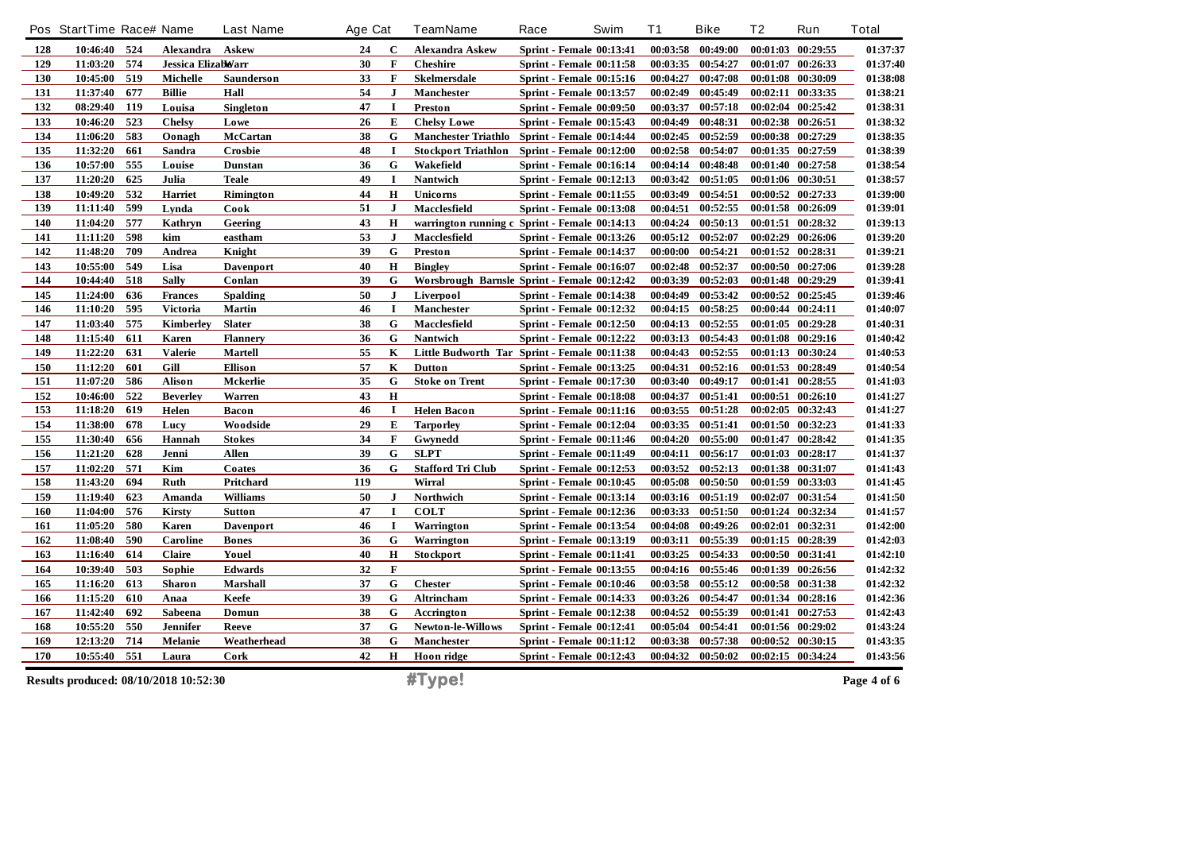|     | Pos StartTime Race# Name              |     |                    | <b>Last Name</b> | Age Cat |             | <b>TeamName</b>                               | Race                            | Swim | <b>T1</b> | <b>Bike</b>       | T2 | Run               | <b>Total</b> |
|-----|---------------------------------------|-----|--------------------|------------------|---------|-------------|-----------------------------------------------|---------------------------------|------|-----------|-------------------|----|-------------------|--------------|
| 128 | 10:46:40 524                          |     | Alexandra          | Askew            | 24      | C           | <b>Alexandra Askew</b>                        | <b>Sprint - Female 00:13:41</b> |      | 00:03:58  | 00:49:00          |    | 00:01:03 00:29:55 | 01:37:37     |
| 129 | 11:03:20                              | 574 | Jessica Elizabbarr |                  | 30      | $\mathbf F$ | <b>Cheshire</b>                               | <b>Sprint - Female 00:11:58</b> |      | 00:03:35  | 00:54:27          |    | 00:01:07 00:26:33 | 01:37:40     |
| 130 | 10:45:00                              | 519 | Michelle           | Saunderson       | 33      | F           | Skelmersdale                                  | <b>Sprint - Female 00:15:16</b> |      | 00:04:27  | 00:47:08          |    | 00:01:08 00:30:09 | 01:38:08     |
| 131 | 11:37:40                              | 677 | <b>Billie</b>      | Hall             | 54      | J           | <b>Manchester</b>                             | <b>Sprint - Female 00:13:57</b> |      | 00:02:49  | 00:45:49          |    | 00:02:11 00:33:35 | 01:38:21     |
| 132 | 08:29:40                              | 119 | Louisa             | Singleton        | 47      | $\mathbf I$ | Preston                                       | <b>Sprint - Female 00:09:50</b> |      | 00:03:37  | 00:57:18          |    | 00:02:04 00:25:42 | 01:38:31     |
| 133 | 10:46:20                              | 523 | <b>Chelsy</b>      | Lowe             | 26      | E           | <b>Chelsy Lowe</b>                            | <b>Sprint - Female 00:15:43</b> |      | 00:04:49  | 00:48:31          |    | 00:02:38 00:26:51 | 01:38:32     |
| 134 | 11:06:20                              | 583 | Oonagh             | McCartan         | 38      | G           | <b>Manchester Triathlo</b>                    | Sprint - Female 00:14:44        |      | 00:02:45  | 00:52:59          |    | 00:00:38 00:27:29 | 01:38:35     |
| 135 | 11:32:20                              | 661 | Sandra             | Crosbie          | 48      | $\mathbf I$ | <b>Stockport Triathlon</b>                    | Sprint - Female 00:12:00        |      | 00:02:58  | 00:54:07          |    | 00:01:35 00:27:59 | 01:38:39     |
| 136 | 10:57:00                              | 555 | Louise             | Dunstan          | 36      | G           | Wakefield                                     | Sprint - Female 00:16:14        |      | 00:04:14  | 00:48:48          |    | 00:01:40 00:27:58 | 01:38:54     |
| 137 | 11:20:20                              | 625 | Julia              | <b>Teale</b>     | 49      | $\mathbf I$ | Nantwich                                      | <b>Sprint - Female 00:12:13</b> |      | 00:03:42  | 00:51:05          |    | 00:01:06 00:30:51 | 01:38:57     |
| 138 | 10:49:20                              | 532 | Harriet            | Rimington        | 44      | $\mathbf H$ | <b>Unicorns</b>                               | <b>Sprint - Female 00:11:55</b> |      | 00:03:49  | 00:54:51          |    | 00:00:52 00:27:33 | 01:39:00     |
| 139 | 11:11:40                              | 599 | Lynda              | Cook             | 51      | J           | Macclesfield                                  | <b>Sprint - Female 00:13:08</b> |      | 00:04:51  | 00:52:55          |    | 00:01:58 00:26:09 | 01:39:01     |
| 140 | 11:04:20                              | 577 | Kathryn            | Geering          | 43      | $\bf H$     | warrington running c Sprint - Female 00:14:13 |                                 |      | 00:04:24  | 00:50:13          |    | 00:01:51 00:28:32 | 01:39:13     |
| 141 | 11:11:20                              | 598 | kim                | eastham          | 53      | J           | Macclesfield                                  | Sprint - Female 00:13:26        |      | 00:05:12  | 00:52:07          |    | 00:02:29 00:26:06 | 01:39:20     |
| 142 | 11:48:20                              | 709 | Andrea             | Knight           | 39      | G           | Preston                                       | <b>Sprint - Female 00:14:37</b> |      | 00:00:00  | 00:54:21          |    | 00:01:52 00:28:31 | 01:39:21     |
| 143 | 10:55:00                              | 549 | Lisa               | <b>Davenport</b> | 40      | $\mathbf H$ | <b>Bingley</b>                                | <b>Sprint - Female 00:16:07</b> |      | 00:02:48  | 00:52:37          |    | 00:00:50 00:27:06 | 01:39:28     |
| 144 | 10:44:40                              | 518 | <b>Sally</b>       | Conlan           | 39      | G           | Worsbrough Barnsle Sprint - Female 00:12:42   |                                 |      | 00:03:39  | 00:52:03          |    | 00:01:48 00:29:29 | 01:39:41     |
| 145 | 11:24:00                              | 636 | <b>Frances</b>     | <b>Spalding</b>  | 50      | J           | Liverpool                                     | Sprint - Female 00:14:38        |      | 00:04:49  | 00:53:42          |    | 00:00:52 00:25:45 | 01:39:46     |
| 146 | 11:10:20                              | 595 | Victoria           | <b>Martin</b>    | 46      | $\mathbf I$ | Manchester                                    | <b>Sprint - Female 00:12:32</b> |      | 00:04:15  | 00:58:25          |    | 00:00:44 00:24:11 | 01:40:07     |
| 147 | 11:03:40                              | 575 | <b>Kimberley</b>   | <b>Slater</b>    | 38      | G           | Macclesfield                                  | <b>Sprint - Female 00:12:50</b> |      | 00:04:13  | 00:52:55          |    | 00:01:05 00:29:28 | 01:40:31     |
| 148 | 11:15:40                              | 611 | Karen              | <b>Flannery</b>  | 36      | G           | Nantwich                                      | Sprint - Female 00:12:22        |      | 00:03:13  | 00:54:43          |    | 00:01:08 00:29:16 | 01:40:42     |
| 149 | 11:22:20                              | 631 | <b>Valerie</b>     | <b>Martell</b>   | 55      | $\mathbf K$ | Little Budworth Tar Sprint - Female 00:11:38  |                                 |      | 00:04:43  | 00:52:55          |    | 00:01:13 00:30:24 | 01:40:53     |
| 150 | 11:12:20                              | 601 | Gill               | Ellison          | 57      | $\mathbf K$ | <b>Dutton</b>                                 | <b>Sprint - Female 00:13:25</b> |      | 00:04:31  | 00:52:16          |    | 00:01:53 00:28:49 | 01:40:54     |
| 151 | 11:07:20                              | 586 | Alison             | Mckerlie         | 35      | G           | <b>Stoke on Trent</b>                         | <b>Sprint - Female 00:17:30</b> |      | 00:03:40  | 00:49:17          |    | 00:01:41 00:28:55 | 01:41:03     |
| 152 | 10:46:00                              | 522 | <b>Beverley</b>    | Warren           | 43      | $\bf H$     |                                               | Sprint - Female 00:18:08        |      | 00:04:37  | 00:51:41          |    | 00:00:51 00:26:10 | 01:41:27     |
| 153 | 11:18:20                              | 619 | Helen              | <b>Bacon</b>     | 46      | $\bf{I}$    | <b>Helen Bacon</b>                            | <b>Sprint - Female 00:11:16</b> |      | 00:03:55  | 00:51:28          |    | 00:02:05 00:32:43 | 01:41:27     |
| 154 | 11:38:00                              | 678 | Lucy               | Woodside         | 29      | E           | <b>Tarporley</b>                              | <b>Sprint - Female 00:12:04</b> |      | 00:03:35  | 00:51:41          |    | 00:01:50 00:32:23 | 01:41:33     |
| 155 | 11:30:40                              | 656 | Hannah             | <b>Stokes</b>    | 34      | $\mathbf F$ | Gwynedd                                       | Sprint - Female 00:11:46        |      | 00:04:20  | 00:55:00          |    | 00:01:47 00:28:42 | 01:41:35     |
| 156 | 11:21:20                              | 628 | Jenni              | <b>Allen</b>     | 39      | G           | <b>SLPT</b>                                   | <b>Sprint - Female 00:11:49</b> |      | 00:04:11  | 00:56:17          |    | 00:01:03 00:28:17 | 01:41:37     |
| 157 | 11:02:20                              | 571 | Kim                | Coates           | 36      | $\mathbf G$ | <b>Stafford Tri Club</b>                      | <b>Sprint - Female 00:12:53</b> |      |           | 00:03:52 00:52:13 |    | 00:01:38 00:31:07 | 01:41:43     |
| 158 | 11:43:20                              | 694 | Ruth               | Pritchard        | 119     |             | Wirral                                        | <b>Sprint - Female 00:10:45</b> |      | 00:05:08  | 00:50:50          |    | 00:01:59 00:33:03 | 01:41:45     |
| 159 | 11:19:40                              | 623 | Amanda             | Williams         | 50      | J           | Northwich                                     | <b>Sprint - Female 00:13:14</b> |      | 00:03:16  | 00:51:19          |    | 00:02:07 00:31:54 | 01:41:50     |
| 160 | 11:04:00                              | 576 | <b>Kirsty</b>      | <b>Sutton</b>    | 47      | $\mathbf I$ | <b>COLT</b>                                   | Sprint - Female 00:12:36        |      | 00:03:33  | 00:51:50          |    | 00:01:24 00:32:34 | 01:41:57     |
| 161 | 11:05:20                              | 580 | Karen              | <b>Davenport</b> | 46      | I           | Warrington                                    | <b>Sprint - Female 00:13:54</b> |      | 00:04:08  | 00:49:26          |    | 00:02:01 00:32:31 | 01:42:00     |
| 162 | 11:08:40                              | 590 | Caroline           | <b>Bones</b>     | 36      | G           | Warrington                                    | <b>Sprint - Female 00:13:19</b> |      | 00:03:11  | 00:55:39          |    | 00:01:15 00:28:39 | 01:42:03     |
| 163 | 11:16:40                              | 614 | <b>Claire</b>      | Youel            | 40      | $\mathbf H$ | Stockport                                     | Sprint - Female 00:11:41        |      | 00:03:25  | 00:54:33          |    | 00:00:50 00:31:41 | 01:42:10     |
| 164 | 10:39:40                              | 503 | Sophie             | <b>Edwards</b>   | 32      | F           |                                               | <b>Sprint - Female 00:13:55</b> |      | 00:04:16  | 00:55:46          |    | 00:01:39 00:26:56 | 01:42:32     |
| 165 | 11:16:20                              | 613 | Sharon             | <b>Marshall</b>  | 37      | G           | <b>Chester</b>                                | Sprint - Female 00:10:46        |      | 00:03:58  | 00:55:12          |    | 00:00:58 00:31:38 | 01:42:32     |
| 166 | 11:15:20                              | 610 | Anaa               | Keefe            | 39      | $\mathbf G$ | Altrincham                                    | <b>Sprint - Female 00:14:33</b> |      | 00:03:26  | 00:54:47          |    | 00:01:34 00:28:16 | 01:42:36     |
| 167 | 11:42:40                              | 692 | Sabeena            | Domun            | 38      | G           | Accrington                                    | <b>Sprint - Female 00:12:38</b> |      | 00:04:52  | 00:55:39          |    | 00:01:41 00:27:53 | 01:42:43     |
| 168 | 10:55:20                              | 550 | <b>Jennifer</b>    | Reeve            | 37      | G           | Newton-le-Willows                             | Sprint - Female 00:12:41        |      | 00:05:04  | 00:54:41          |    | 00:01:56 00:29:02 | 01:43:24     |
| 169 | 12:13:20                              | 714 | Melanie            | Weatherhead      | 38      | G           | <b>Manchester</b>                             | Sprint - Female 00:11:12        |      | 00:03:38  | 00:57:38          |    | 00:00:52 00:30:15 | 01:43:35     |
| 170 | 10:55:40                              | 551 | Laura              | Cork             | 42      | $\mathbf H$ | Hoon ridge                                    | <b>Sprint - Female 00:12:43</b> |      |           | 00:04:32 00:50:02 |    | 00:02:15 00:34:24 | 01:43:56     |
|     | Results produced: 08/10/2018 10:52:30 |     |                    |                  |         |             | #Type!                                        |                                 |      |           |                   |    |                   | Page 4 of 6  |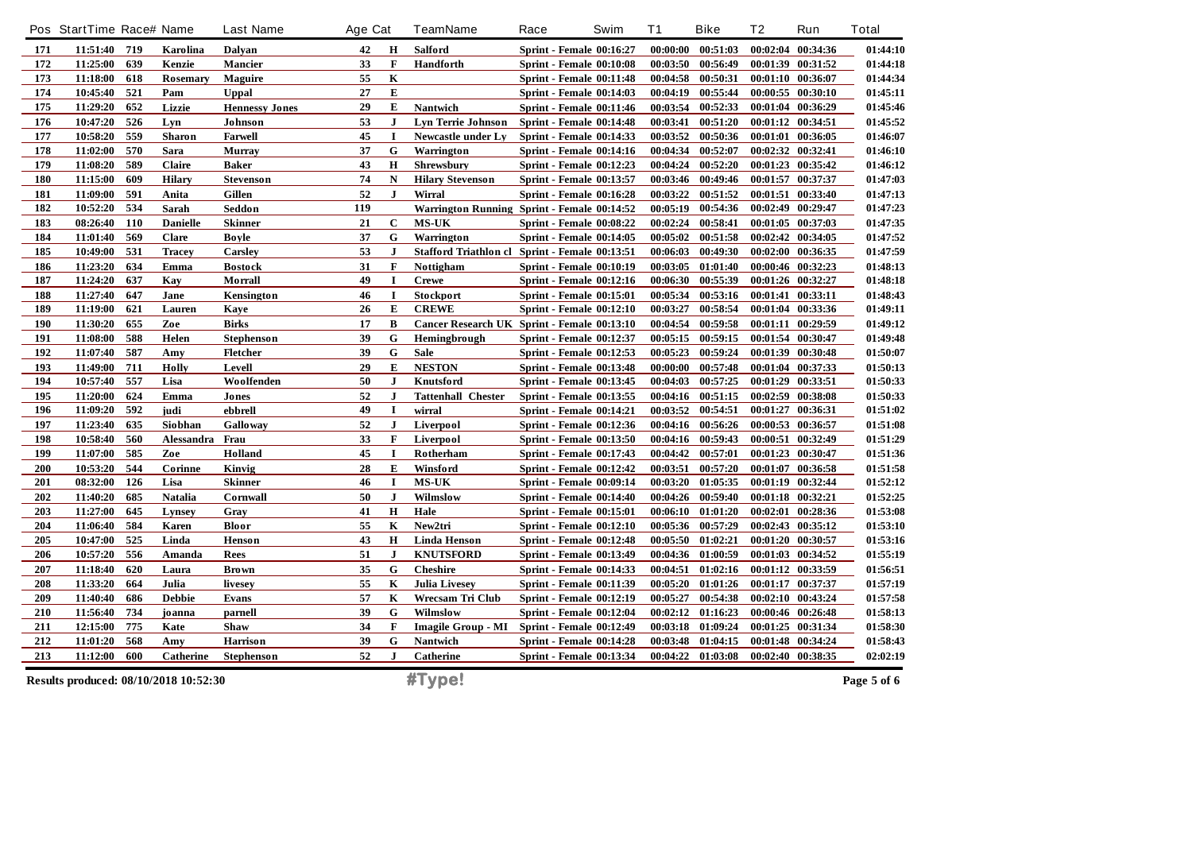|     | Pos StartTime Race# Name              |     |                 | <b>Last Name</b>      | Age Cat |              | <b>TeamName</b>           | Race<br>Swim                                   | T1       | <b>Bike</b>       | T <sub>2</sub> | Run               | <b>Total</b> |
|-----|---------------------------------------|-----|-----------------|-----------------------|---------|--------------|---------------------------|------------------------------------------------|----------|-------------------|----------------|-------------------|--------------|
| 171 | 11:51:40 719                          |     | Karolina        | Dalyan                | 42      | H            | <b>Salford</b>            | Sprint - Female 00:16:27                       | 00:00:00 | 00:51:03          |                | 00:02:04 00:34:36 | 01:44:10     |
| 172 | 11:25:00                              | 639 | Kenzie          | <b>Mancier</b>        | 33      | $\mathbf F$  | Handforth                 | Sprint - Female 00:10:08                       | 00:03:50 | 00:56:49          |                | 00:01:39 00:31:52 | 01:44:18     |
| 173 | 11:18:00                              | 618 | <b>Rosemary</b> | <b>Maguire</b>        | 55      | $\mathbf K$  |                           | Sprint - Female 00:11:48                       | 00:04:58 | 00:50:31          |                | 00:01:10 00:36:07 | 01:44:34     |
| 174 | 10:45:40                              | 521 | Pam             | <b>Uppal</b>          | 27      | E            |                           | <b>Sprint - Female 00:14:03</b>                | 00:04:19 | 00:55:44          |                | 00:00:55 00:30:10 | 01:45:11     |
| 175 | 11:29:20                              | 652 | Lizzie          | <b>Hennessy Jones</b> | 29      | E            | Nantwich                  | Sprint - Female 00:11:46                       | 00:03:54 | 00:52:33          |                | 00:01:04 00:36:29 | 01:45:46     |
| 176 | 10:47:20                              | 526 | Lyn             | <b>Johnson</b>        | 53      | J            | <b>Lyn Terrie Johnson</b> | Sprint - Female 00:14:48                       | 00:03:41 | 00:51:20          |                | 00:01:12 00:34:51 | 01:45:52     |
| 177 | 10:58:20                              | 559 | Sharon          | <b>Farwell</b>        | 45      | $\bf{I}$     | Newcastle under Ly        | <b>Sprint - Female 00:14:33</b>                | 00:03:52 | 00:50:36          |                | 00:01:01 00:36:05 | 01:46:07     |
| 178 | 11:02:00                              | 570 | Sara            | <b>Murray</b>         | 37      | G            | Warrington                | <b>Sprint - Female 00:14:16</b>                | 00:04:34 | 00:52:07          |                | 00:02:32 00:32:41 | 01:46:10     |
| 179 | 11:08:20                              | 589 | Claire          | Baker                 | 43      | $\bf H$      | Shrewsbury                | <b>Sprint - Female 00:12:23</b>                | 00:04:24 | 00:52:20          |                | 00:01:23 00:35:42 | 01:46:12     |
| 180 | 11:15:00                              | 609 | <b>Hilary</b>   | <b>Stevenson</b>      | 74      | ${\bf N}$    | <b>Hilary Stevenson</b>   | <b>Sprint - Female 00:13:57</b>                | 00:03:46 | 00:49:46          |                | 00:01:57 00:37:37 | 01:47:03     |
| 181 | 11:09:00                              | 591 | Anita           | Gillen                | 52      | $\mathbf{J}$ | Wirral                    | Sprint - Female 00:16:28                       | 00:03:22 | 00:51:52          |                | 00:01:51 00:33:40 | 01:47:13     |
| 182 | 10:52:20                              | 534 | Sarah           | Seddon                | 119     |              |                           | Warrington Running Sprint - Female 00:14:52    | 00:05:19 | 00:54:36          |                | 00:02:49 00:29:47 | 01:47:23     |
| 183 | 08:26:40                              | 110 | <b>Danielle</b> | <b>Skinner</b>        | 21      | $\mathbf C$  | <b>MS-UK</b>              | Sprint - Female 00:08:22                       | 00:02:24 | 00:58:41          |                | 00:01:05 00:37:03 | 01:47:35     |
| 184 | 11:01:40                              | 569 | Clare           | Boyle                 | 37      | G            | Warrington                | Sprint - Female 00:14:05                       | 00:05:02 | 00:51:58          |                | 00:02:42 00:34:05 | 01:47:52     |
| 185 | 10:49:00                              | 531 | <b>Tracey</b>   | Carsley               | 53      | J            |                           | Stafford Triathlon cl Sprint - Female 00:13:51 | 00:06:03 | 00:49:30          |                | 00:02:00 00:36:35 | 01:47:59     |
| 186 | 11:23:20                              | 634 | Emma            | <b>Bostock</b>        | 31      | $\mathbf{F}$ | Nottigham                 | <b>Sprint - Female 00:10:19</b>                | 00:03:05 | 01:01:40          |                | 00:00:46 00:32:23 | 01:48:13     |
| 187 | 11:24:20                              | 637 | Kay             | Morrall               | 49      | $\mathbf I$  | <b>Crewe</b>              | Sprint - Female 00:12:16                       | 00:06:30 | 00:55:39          |                | 00:01:26 00:32:27 | 01:48:18     |
| 188 | 11:27:40                              | 647 | Jane            | Kensington            | 46      | 1            | Stockport                 | <b>Sprint - Female 00:15:01</b>                | 00:05:34 | 00:53:16          |                | 00:01:41 00:33:11 | 01:48:43     |
| 189 | 11:19:00                              | 621 | Lauren          | Kaye                  | 26      | E            | <b>CREWE</b>              | <b>Sprint - Female 00:12:10</b>                | 00:03:27 | 00:58:54          |                | 00:01:04 00:33:36 | 01:49:11     |
| 190 | 11:30:20                              | 655 | Zoe             | Birks                 | 17      | B            |                           | Cancer Research UK Sprint - Female 00:13:10    | 00:04:54 | 00:59:58          |                | 00:01:11 00:29:59 | 01:49:12     |
| 191 | 11:08:00                              | 588 | Helen           | <b>Stephenson</b>     | 39      | G            | Hemingbrough              | <b>Sprint - Female 00:12:37</b>                | 00:05:15 | 00:59:15          |                | 00:01:54 00:30:47 | 01:49:48     |
| 192 | 11:07:40                              | 587 | Amy             | Fletcher              | 39      | G            | <b>Sale</b>               | <b>Sprint - Female 00:12:53</b>                | 00:05:23 | 00:59:24          |                | 00:01:39 00:30:48 | 01:50:07     |
| 193 | 11:49:00                              | 711 | Holly           | Levell                | 29      | E            | <b>NESTON</b>             | <b>Sprint - Female 00:13:48</b>                | 00:00:00 | 00:57:48          |                | 00:01:04 00:37:33 | 01:50:13     |
| 194 | 10:57:40                              | 557 | Lisa            | Woolfenden            | 50      | $\bf{J}$     | Knutsford                 | <b>Sprint - Female 00:13:45</b>                | 00:04:03 | 00:57:25          |                | 00:01:29 00:33:51 | 01:50:33     |
| 195 | 11:20:00                              | 624 | Emma            | Jones                 | 52      | $\bf J$      | <b>Tattenhall Chester</b> | <b>Sprint - Female 00:13:55</b>                | 00:04:16 | 00:51:15          |                | 00:02:59 00:38:08 | 01:50:33     |
| 196 | 11:09:20                              | 592 | judi            | ebbrell               | 49      | 1            | wirral                    | Sprint - Female 00:14:21                       | 00:03:52 | 00:54:51          |                | 00:01:27 00:36:31 | 01:51:02     |
| 197 | 11:23:40                              | 635 | Siobhan         | Galloway              | 52      | J.           | Liverpool                 | <b>Sprint - Female 00:12:36</b>                | 00:04:16 | 00:56:26          |                | 00:00:53 00:36:57 | 01:51:08     |
| 198 | 10:58:40                              | 560 | Alessandra      | Frau                  | 33      | $\mathbf F$  | Liverpool                 | <b>Sprint - Female 00:13:50</b>                | 00:04:16 | 00:59:43          |                | 00:00:51 00:32:49 | 01:51:29     |
| 199 | 11:07:00                              | 585 | Zoe             | Holland               | 45      | I            | Rotherham                 | <b>Sprint - Female 00:17:43</b>                | 00:04:42 | 00:57:01          | 00:01:23       | 00:30:47          | 01:51:36     |
| 200 | 10:53:20                              | 544 | Corinne         | Kinvig                | 28      | E            | Winsford                  | <b>Sprint - Female 00:12:42</b>                | 00:03:51 | 00:57:20          |                | 00:01:07 00:36:58 | 01:51:58     |
| 201 | 08:32:00                              | 126 | Lisa            | <b>Skinner</b>        | 46      | 1            | <b>MS-UK</b>              | <b>Sprint - Female 00:09:14</b>                | 00:03:20 | 01:05:35          |                | 00:01:19 00:32:44 | 01:52:12     |
| 202 | 11:40:20                              | 685 | <b>Natalia</b>  | Cornwall              | 50      | $\mathbf{J}$ | Wilmslow                  | Sprint - Female 00:14:40                       | 00:04:26 | 00:59:40          |                | 00:01:18 00:32:21 | 01:52:25     |
| 203 | 11:27:00                              | 645 | Lynsey          | Gray                  | 41      | $\mathbf H$  | Hale                      | <b>Sprint - Female 00:15:01</b>                | 00:06:10 | 01:01:20          |                | 00:02:01 00:28:36 | 01:53:08     |
| 204 | 11:06:40                              | 584 | Karen           | Bloor                 | 55      | $\mathbf K$  | New2tri                   | <b>Sprint - Female 00:12:10</b>                | 00:05:36 | 00:57:29          |                | 00:02:43 00:35:12 | 01:53:10     |
| 205 | 10:47:00                              | 525 | Linda           | Henson                | 43      | $\mathbf H$  | <b>Linda Henson</b>       | <b>Sprint - Female 00:12:48</b>                | 00:05:50 | 01:02:21          |                | 00:01:20 00:30:57 | 01:53:16     |
| 206 | 10:57:20                              | 556 | Amanda          | <b>Rees</b>           | 51      | $\mathbf{J}$ | <b>KNUTSFORD</b>          | <b>Sprint - Female 00:13:49</b>                | 00:04:36 | 01:00:59          |                | 00:01:03 00:34:52 | 01:55:19     |
| 207 | 11:18:40                              | 620 | Laura           | <b>Brown</b>          | 35      | G            | <b>Cheshire</b>           | Sprint - Female 00:14:33                       | 00:04:51 | 01:02:16          |                | 00:01:12 00:33:59 | 01:56:51     |
| 208 | 11:33:20                              | 664 | Julia           | livesey               | 55      | K            | <b>Julia Livesey</b>      | <b>Sprint - Female 00:11:39</b>                | 00:05:20 | 01:01:26          |                | 00:01:17 00:37:37 | 01:57:19     |
| 209 | 11:40:40                              | 686 | <b>Debbie</b>   | Evans                 | 57      | K            | Wrecsam Tri Club          | <b>Sprint - Female 00:12:19</b>                | 00:05:27 | 00:54:38          |                | 00:02:10 00:43:24 | 01:57:58     |
| 210 | 11:56:40                              | 734 | joanna          | parnell               | 39      | G            | Wilmslow                  | <b>Sprint - Female 00:12:04</b>                | 00:02:12 | 01:16:23          |                | 00:00:46 00:26:48 | 01:58:13     |
| 211 | 12:15:00                              | 775 | Kate            | <b>Shaw</b>           | 34      | $\mathbf{F}$ | <b>Imagile Group - MI</b> | <b>Sprint - Female 00:12:49</b>                | 00:03:18 | 01:09:24          |                | 00:01:25 00:31:34 | 01:58:30     |
| 212 | 11:01:20                              | 568 | Amy             | <b>Harrison</b>       | 39      | G            | Nantwich                  | Sprint - Female 00:14:28                       | 00:03:48 | 01:04:15          |                | 00:01:48 00:34:24 | 01:58:43     |
| 213 | 11:12:00                              | 600 | Catherine       | <b>Stephenson</b>     | 52      | J            | <b>Catherine</b>          | <b>Sprint - Female 00:13:34</b>                |          | 00:04:22 01:03:08 |                | 00:02:40 00:38:35 | 02:02:19     |
|     | Results produced: 08/10/2018 10:52:30 |     |                 |                       |         |              | #Type!                    |                                                |          |                   |                |                   | Page 5 of 6  |